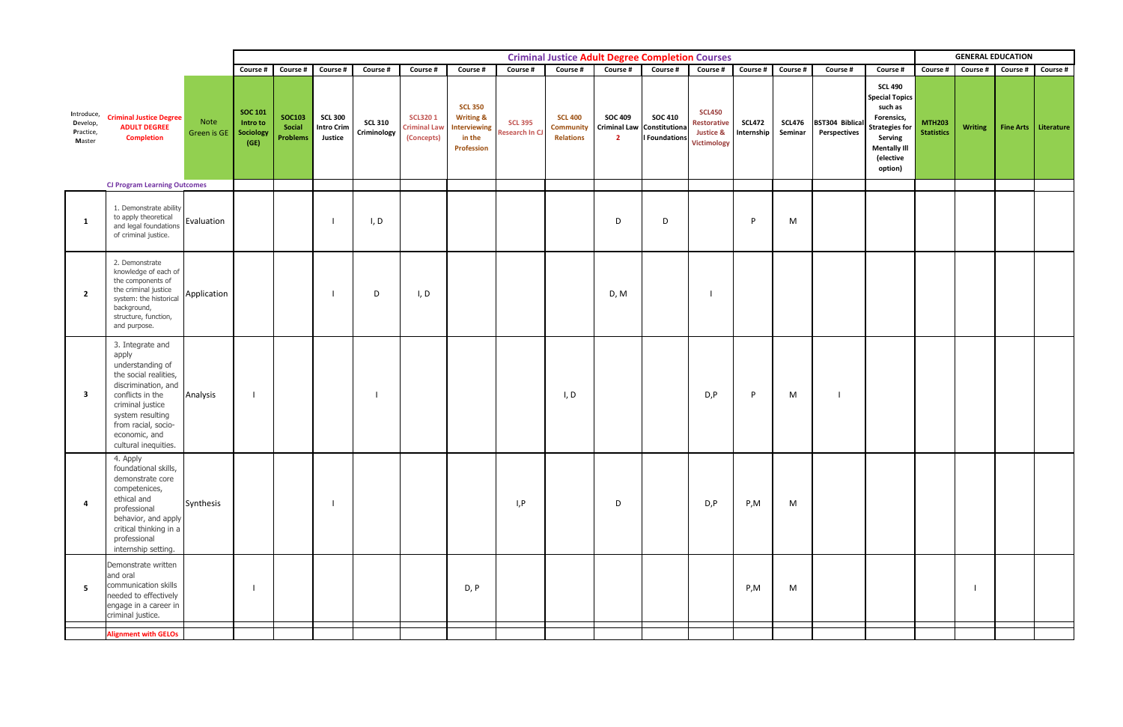|                                               |                                                                                                                                                                                                                           |                            |                                                 | <b>Criminal Justice Adult Degree Completion Courses</b> |                                                |                               |                                                     |                                                                                       |                                         |                                                        |                                  |                                                                      |                                                                            |                             |                          |                                        |                                                                                                                                                     | <b>GENERAL EDUCATION</b>           |                   |  |                        |  |
|-----------------------------------------------|---------------------------------------------------------------------------------------------------------------------------------------------------------------------------------------------------------------------------|----------------------------|-------------------------------------------------|---------------------------------------------------------|------------------------------------------------|-------------------------------|-----------------------------------------------------|---------------------------------------------------------------------------------------|-----------------------------------------|--------------------------------------------------------|----------------------------------|----------------------------------------------------------------------|----------------------------------------------------------------------------|-----------------------------|--------------------------|----------------------------------------|-----------------------------------------------------------------------------------------------------------------------------------------------------|------------------------------------|-------------------|--|------------------------|--|
|                                               |                                                                                                                                                                                                                           |                            | Course #                                        | Course #                                                | Course #                                       | Course #                      | Course #                                            | Course #                                                                              | Course #                                | Course #                                               | <b>Course #</b>                  | Course #                                                             | Course #                                                                   | Course #                    | Course #                 | Course #                               | Course #                                                                                                                                            | <b>Course #</b>                    | Course # Course # |  | <b>Course #</b>        |  |
| Introduce,<br>Develop,<br>Practice,<br>Master | <b>Criminal Justice Degree</b><br><b>ADULT DEGREE</b><br><b>Completion</b><br><b>CJ Program Learning Outcomes</b>                                                                                                         | Note<br><b>Green is GE</b> | <b>SOC 101</b><br>Intro to<br>Sociology<br>(GE) | <b>SOC103</b><br>Social<br><b>Problems</b>              | <b>SCL 300</b><br><b>Intro Crim</b><br>Justice | <b>SCL 310</b><br>Criminology | <b>SCL3201</b><br><b>Criminal Law</b><br>(Concepts) | <b>SCL 350</b><br><b>Writing &amp;</b><br>Interviewing<br>in the<br><b>Profession</b> | <b>SCL 395</b><br><b>Research In CJ</b> | <b>SCL 400</b><br><b>Community</b><br><b>Relations</b> | <b>SOC 409</b><br>$\overline{2}$ | <b>SOC 410</b><br>Criminal Law Constitutiona<br><b>I</b> Foundations | <b>SCL450</b><br>Restorative<br><b>Justice &amp;</b><br><b>Victimology</b> | <b>SCL472</b><br>Internship | <b>SCL476</b><br>Seminar | <b>BST304 Biblical</b><br>Perspectives | <b>SCL 490</b><br><b>Special Topics</b><br>such as<br>Forensics,<br><b>Strategies for</b><br>Serving<br><b>Mentally III</b><br>(elective<br>option) | <b>MTH203</b><br><b>Statistics</b> | <b>Writing</b>    |  | Fine Arts   Literature |  |
|                                               |                                                                                                                                                                                                                           |                            |                                                 |                                                         |                                                |                               |                                                     |                                                                                       |                                         |                                                        |                                  |                                                                      |                                                                            |                             |                          |                                        |                                                                                                                                                     |                                    |                   |  |                        |  |
| 1                                             | 1. Demonstrate ability<br>to apply theoretical<br>and legal foundations<br>of criminal justice.                                                                                                                           | Evaluation                 |                                                 |                                                         |                                                | I, D                          |                                                     |                                                                                       |                                         |                                                        | D                                | D                                                                    |                                                                            | P                           | M                        |                                        |                                                                                                                                                     |                                    |                   |  |                        |  |
| $\overline{\mathbf{2}}$                       | 2. Demonstrate<br>knowledge of each of<br>the components of<br>the criminal justice<br>system: the historical<br>background,<br>structure, function,<br>and purpose.                                                      | Application                |                                                 |                                                         |                                                | D                             | I, D                                                |                                                                                       |                                         |                                                        | D, M                             |                                                                      |                                                                            |                             |                          |                                        |                                                                                                                                                     |                                    |                   |  |                        |  |
| - 3                                           | 3. Integrate and<br>apply<br>understanding of<br>the social realities,<br>discrimination, and<br>conflicts in the<br>criminal justice<br>system resulting<br>from racial, socio-<br>economic, and<br>cultural inequities. | Analysis                   |                                                 |                                                         |                                                |                               |                                                     |                                                                                       |                                         | I, D                                                   |                                  |                                                                      | D, P                                                                       | P                           | M                        |                                        |                                                                                                                                                     |                                    |                   |  |                        |  |
| $\overline{4}$                                | 4. Apply<br>foundational skills,<br>demonstrate core<br>competenices,<br>ethical and<br>professional<br>behavior, and apply<br>critical thinking in a<br>professional<br>internship setting.                              | Synthesis                  |                                                 |                                                         |                                                |                               |                                                     |                                                                                       | I, P                                    |                                                        | D                                |                                                                      | D, P                                                                       | P,M                         | M                        |                                        |                                                                                                                                                     |                                    |                   |  |                        |  |
| 5                                             | Demonstrate written<br>and oral<br>communication skills<br>needed to effectively<br>engage in a career in<br>criminal justice.                                                                                            |                            |                                                 |                                                         |                                                |                               |                                                     | D, P                                                                                  |                                         |                                                        |                                  |                                                                      |                                                                            | P, M                        | M                        |                                        |                                                                                                                                                     |                                    |                   |  |                        |  |
|                                               | <b>Alignment with GELOs</b>                                                                                                                                                                                               |                            |                                                 |                                                         |                                                |                               |                                                     |                                                                                       |                                         |                                                        |                                  |                                                                      |                                                                            |                             |                          |                                        |                                                                                                                                                     |                                    |                   |  |                        |  |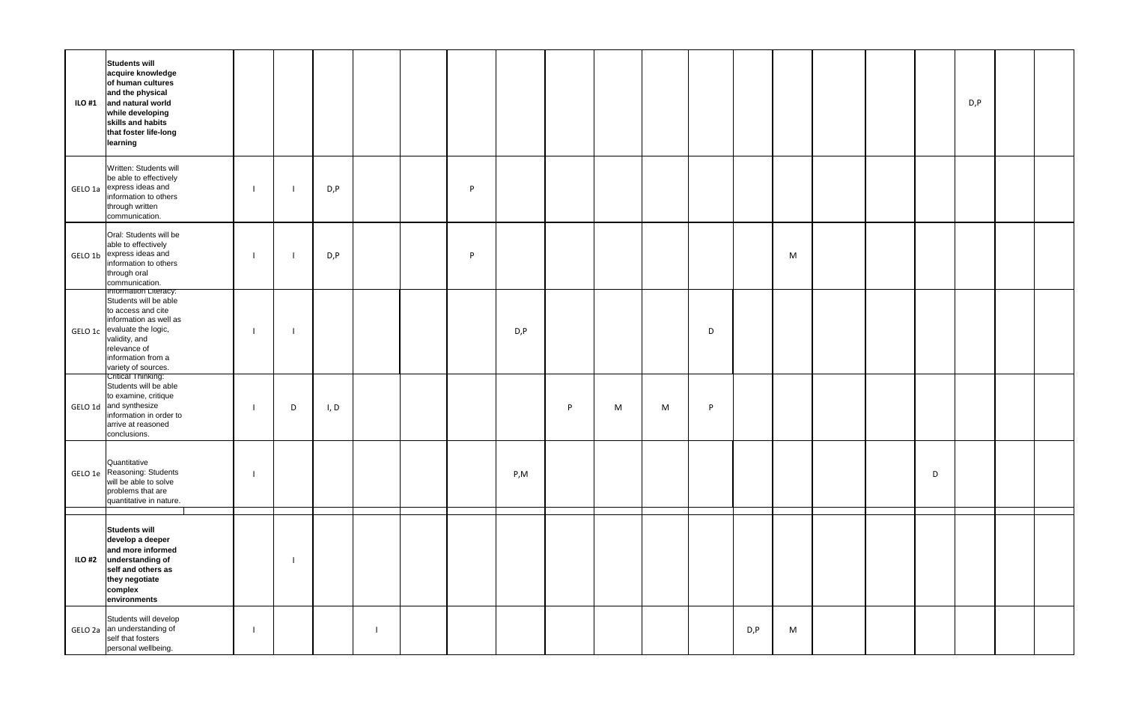| <b>Students will</b><br>acquire knowledge<br>of human cultures<br>and the physical<br>$\textsf{ILO H1}$ and natural world<br>while developing<br>skills and habits<br>that foster life-long<br>learning     |   |      |  |   |      |   |   |   |   |      |   |  |   | D, P |  |
|-------------------------------------------------------------------------------------------------------------------------------------------------------------------------------------------------------------|---|------|--|---|------|---|---|---|---|------|---|--|---|------|--|
| Written: Students will<br>be able to effectively<br>GELO 1a express ideas and<br>information to others<br>through written<br>communication.                                                                 |   | D, P |  | P |      |   |   |   |   |      |   |  |   |      |  |
| Oral: Students will be<br>able to effectively<br>GELO 1b express ideas and<br>information to others<br>through oral<br>communication.                                                                       |   | D, P |  | P |      |   |   |   |   |      | M |  |   |      |  |
| Information Literacy:<br>Students will be able<br>to access and cite<br>information as well as<br>GELO 1c evaluate the logic,<br>validity, and<br>relevance of<br>information from a<br>variety of sources. |   |      |  |   | D, P |   |   |   | D |      |   |  |   |      |  |
| Critical Thinking:<br>Students will be able<br>to examine, critique<br>GELO 1d and synthesize<br>information in order to<br>arrive at reasoned<br>conclusions.                                              | D | I, D |  |   |      | P | M | M | P |      |   |  |   |      |  |
| Quantitative<br>GELO 1e Reasoning: Students<br>will be able to solve<br>problems that are<br>quantitative in nature.                                                                                        |   |      |  |   | P, M |   |   |   |   |      |   |  | D |      |  |
| <b>Students will</b><br>develop a deeper<br>and more informed<br>ILO #2 understanding of<br>self and others as<br>they negotiate<br>complex<br>environments                                                 |   |      |  |   |      |   |   |   |   |      |   |  |   |      |  |
| Students will develop<br>GELO 2a an understanding of<br>self that fosters<br>personal wellbeing.                                                                                                            |   |      |  |   |      |   |   |   |   | D, P | M |  |   |      |  |